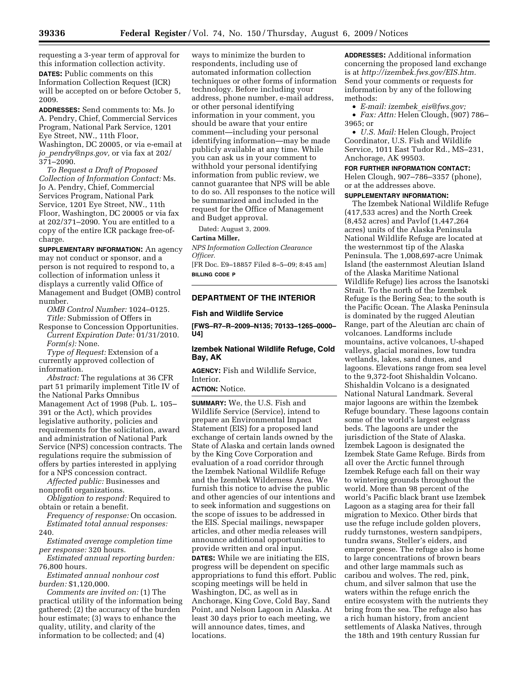requesting a 3-year term of approval for this information collection activity. **DATES:** Public comments on this Information Collection Request (ICR) will be accepted on or before October 5, 2009.

**ADDRESSES:** Send comments to: Ms. Jo A. Pendry, Chief, Commercial Services Program, National Park Service, 1201 Eye Street, NW., 11th Floor, Washington, DC 20005, or via e-email at *jo*\_*pendry@nps.gov,* or via fax at 202/ 371–2090.

*To Request a Draft of Proposed Collection of Information Contact:* Ms. Jo A. Pendry, Chief, Commercial Services Program, National Park Service, 1201 Eye Street, NW., 11th Floor, Washington, DC 20005 or via fax at 202/371–2090. You are entitled to a copy of the entire ICR package free-ofcharge.

**SUPPLEMENTARY INFORMATION:** An agency may not conduct or sponsor, and a person is not required to respond to, a collection of information unless it displays a currently valid Office of Management and Budget (OMB) control number.

*OMB Control Number:* 1024–0125. *Title:* Submission of Offers in

Response to Concession Opportunities. *Current Expiration Date:* 01/31/2010. *Form(s):* None.

*Type of Request:* Extension of a currently approved collection of information.

*Abstract:* The regulations at 36 CFR part 51 primarily implement Title IV of the National Parks Omnibus Management Act of 1998 (Pub. L. 105– 391 or the Act), which provides legislative authority, policies and requirements for the solicitation, award and administration of National Park Service (NPS) concession contracts. The regulations require the submission of offers by parties interested in applying for a NPS concession contract.

*Affected public:* Businesses and nonprofit organizations.

*Obligation to respond:* Required to obtain or retain a benefit.

*Frequency of response:* On occasion. *Estimated total annual responses:*  240.

*Estimated average completion time per response:* 320 hours.

*Estimated annual reporting burden:*  76,800 hours.

*Estimated annual nonhour cost burden:* \$1,120,000.

*Comments are invited on:* (1) The practical utility of the information being gathered; (2) the accuracy of the burden hour estimate; (3) ways to enhance the quality, utility, and clarity of the information to be collected; and (4)

ways to minimize the burden to respondents, including use of automated information collection techniques or other forms of information technology. Before including your address, phone number, e-mail address, or other personal identifying information in your comment, you should be aware that your entire comment—including your personal identifying information—may be made publicly available at any time. While you can ask us in your comment to withhold your personal identifying information from public review, we cannot guarantee that NPS will be able to do so. All responses to the notice will be summarized and included in the request for the Office of Management and Budget approval.

Dated: August 3, 2009.

#### **Cartina Miller,**

*NPS Information Collection Clearance Officer.* 

[FR Doc. E9–18857 Filed 8–5–09; 8:45 am] **BILLING CODE P** 

# **DEPARTMENT OF THE INTERIOR**

## **Fish and Wildlife Service**

**[FWS–R7–R–2009–N135; 70133–1265–0000– U4]** 

## **Izembek National Wildlife Refuge, Cold Bay, AK**

**AGENCY:** Fish and Wildlife Service, **Interior** 

**ACTION:** Notice.

**SUMMARY:** We, the U.S. Fish and Wildlife Service (Service), intend to prepare an Environmental Impact Statement (EIS) for a proposed land exchange of certain lands owned by the State of Alaska and certain lands owned by the King Cove Corporation and evaluation of a road corridor through the Izembek National Wildlife Refuge and the Izembek Wilderness Area. We furnish this notice to advise the public and other agencies of our intentions and to seek information and suggestions on the scope of issues to be addressed in the EIS. Special mailings, newspaper articles, and other media releases will announce additional opportunities to provide written and oral input. **DATES:** While we are initiating the EIS, progress will be dependent on specific appropriations to fund this effort. Public scoping meetings will be held in Washington, DC, as well as in Anchorage, King Cove, Cold Bay, Sand Point, and Nelson Lagoon in Alaska. At least 30 days prior to each meeting, we will announce dates, times, and locations.

**ADDRESSES:** Additional information concerning the proposed land exchange is at *http://izembek.fws.gov/EIS.htm.*  Send your comments or requests for information by any of the following methods:

• *E-mail: izembek*\_*eis@fws.gov;*  • *Fax: Attn:* Helen Clough, (907) 786– 3965; or

• *U.S. Mail:* Helen Clough, Project Coordinator, U.S. Fish and Wildlife Service, 1011 East Tudor Rd., MS–231, Anchorage, AK 99503.

#### **FOR FURTHER INFORMATION CONTACT:**

Helen Clough, 907–786–3357 (phone), or at the addresses above.

## **SUPPLEMENTARY INFORMATION:**

The Izembek National Wildlife Refuge (417,533 acres) and the North Creek (8,452 acres) and Pavlof (1,447,264 acres) units of the Alaska Peninsula National Wildlife Refuge are located at the westernmost tip of the Alaska Peninsula. The 1,008,697-acre Unimak Island (the easternmost Aleutian Island of the Alaska Maritime National Wildlife Refuge) lies across the Isanotski Strait. To the north of the Izembek Refuge is the Bering Sea; to the south is the Pacific Ocean. The Alaska Peninsula is dominated by the rugged Aleutian Range, part of the Aleutian arc chain of volcanoes. Landforms include mountains, active volcanoes, U-shaped valleys, glacial moraines, low tundra wetlands, lakes, sand dunes, and lagoons. Elevations range from sea level to the 9,372-foot Shishaldin Volcano. Shishaldin Volcano is a designated National Natural Landmark. Several major lagoons are within the Izembek Refuge boundary. These lagoons contain some of the world's largest eelgrass beds. The lagoons are under the jurisdiction of the State of Alaska. Izembek Lagoon is designated the Izembek State Game Refuge. Birds from all over the Arctic funnel through Izembek Refuge each fall on their way to wintering grounds throughout the world. More than 98 percent of the world's Pacific black brant use Izembek Lagoon as a staging area for their fall migration to Mexico. Other birds that use the refuge include golden plovers, ruddy turnstones, western sandpipers, tundra swans, Steller's eiders, and emperor geese. The refuge also is home to large concentrations of brown bears and other large mammals such as caribou and wolves. The red, pink, chum, and silver salmon that use the waters within the refuge enrich the entire ecosystem with the nutrients they bring from the sea. The refuge also has a rich human history, from ancient settlements of Alaska Natives, through the 18th and 19th century Russian fur